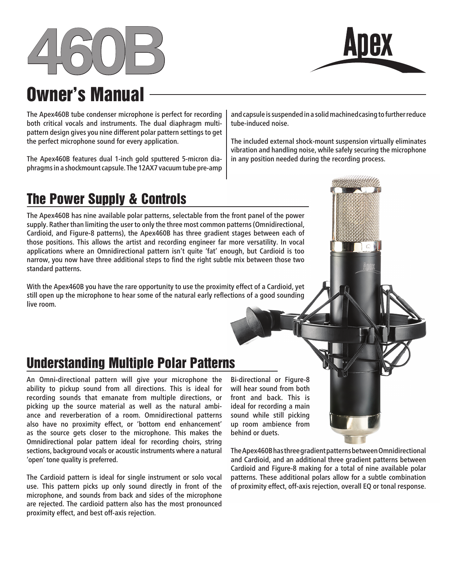



# Owner's Manual

The Apex460B tube condenser microphone is perfect for recording both critical vocals and instruments. The dual diaphragm multipattern design gives you nine different polar pattern settings to get the perfect microphone sound for every application.

The Apex460B features dual 1-inch gold sputtered 5-micron diaphragms in a shockmount capsule. The 12AX7 vacuum tube pre-amp

and capsule is suspended in a solid machined casing to further reduce tube-induced noise.

The included external shock-mount suspension virtually eliminates vibration and handling noise, while safely securing the microphone in any position needed during the recording process.

## The Power Supply & Controls

The Apex460B has nine available polar patterns, selectable from the front panel of the power supply. Rather than limiting the user to only the three most common patterns (Omnidirectional, Cardioid, and Figure-8 patterns), the Apex460B has three gradient stages between each of those positions. This allows the artist and recording engineer far more versatility. In vocal applications where an Omnidirectional pattern isn't quite 'fat' enough, but Cardioid is too narrow, you now have three additional steps to find the right subtle mix between those two standard patterns.

With the Apex460B you have the rare opportunity to use the proximity effect of a Cardioid, yet still open up the microphone to hear some of the natural early reflections of a good sounding live room.

### Understanding Multiple Polar Patterns

An Omni-directional pattern will give your microphone the ability to pickup sound from all directions. This is ideal for recording sounds that emanate from multiple directions, or picking up the source material as well as the natural ambiance and reverberation of a room. Omnidirectional patterns also have no proximity effect, or 'bottom end enhancement' as the source gets closer to the microphone. This makes the Omnidirectional polar pattern ideal for recording choirs, string sections, background vocals or acoustic instruments where a natural 'open' tone quality is preferred.

The Cardioid pattern is ideal for single instrument or solo vocal use. This pattern picks up only sound directly in front of the microphone, and sounds from back and sides of the microphone are rejected. The cardioid pattern also has the most pronounced proximity effect, and best off-axis rejection.

Bi-directional or Figure-8 will hear sound from both front and back. This is ideal for recording a main sound while still picking up room ambience from behind or duets.

The Apex460B has three gradient patterns between Omnidirectional and Cardioid, and an additional three gradient patterns between Cardioid and Figure-8 making for a total of nine available polar patterns. These additional polars allow for a subtle combination of proximity effect, off-axis rejection, overall EQ or tonal response.